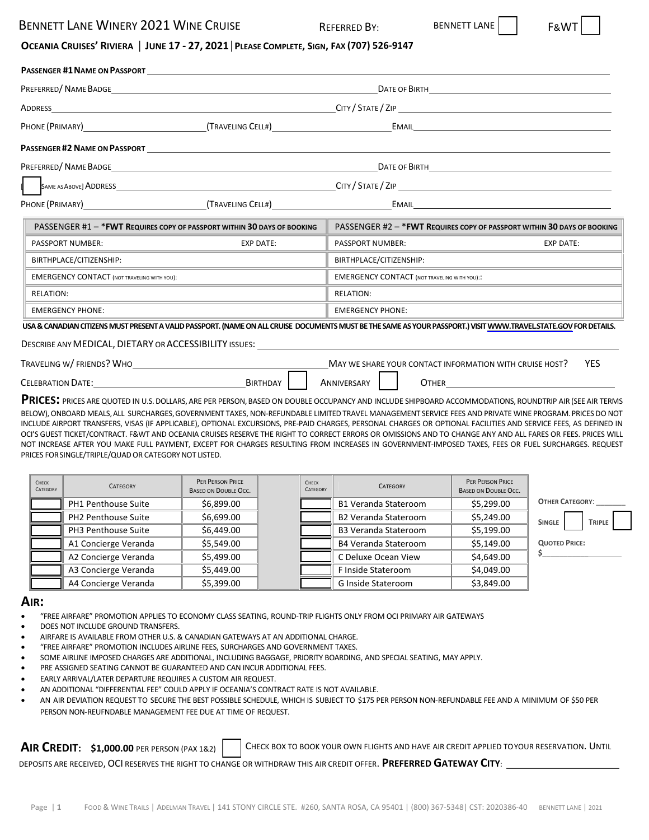## BENNETT LANE WINERY 2021 WINE CRUISE FACK REFERRED BY: BENNETT LANE

## OCEANIA CRUISES' RIVIERA | JUNE 17 - 27, 2021 | PLEASE COMPLETE, SIGN, FAX (707) 526-9147

|                                                    | <b>PASSENGER #1 NAME ON PASSPORT EXECUTE AND INCOMEDIATE IN A SET ON A SET OF A SET OF A SET OF A SET OF A SET OF A SET OF A SET OF A SET OF A SET OF A SET OF A SET OF A SET OF A SET OF A SET OF A SET OF A SET OF A SET OF </b> |                                                     |                                                                          |  |  |
|----------------------------------------------------|------------------------------------------------------------------------------------------------------------------------------------------------------------------------------------------------------------------------------------|-----------------------------------------------------|--------------------------------------------------------------------------|--|--|
|                                                    |                                                                                                                                                                                                                                    |                                                     |                                                                          |  |  |
|                                                    | ADDRESS <b>ANDRESS</b>                                                                                                                                                                                                             |                                                     |                                                                          |  |  |
|                                                    |                                                                                                                                                                                                                                    |                                                     |                                                                          |  |  |
|                                                    | <b>PASSENGER #2 NAME ON PASSPORT CONTRACTLY ASSENGER #2 NAME ON PASSPORT</b>                                                                                                                                                       |                                                     |                                                                          |  |  |
|                                                    |                                                                                                                                                                                                                                    |                                                     |                                                                          |  |  |
|                                                    |                                                                                                                                                                                                                                    |                                                     |                                                                          |  |  |
|                                                    | PHONE (PRIMARY) CHARGE (TRAVELING CELL#) CHARGE (TRAVELING CELL#) CHARGE (PRIMAL                                                                                                                                                   |                                                     |                                                                          |  |  |
|                                                    | PASSENGER #1 - * FWT REQUIRES COPY OF PASSPORT WITHIN 30 DAYS OF BOOKING                                                                                                                                                           |                                                     | PASSENGER #2 - * FWT REQUIRES COPY OF PASSPORT WITHIN 30 DAYS OF BOOKING |  |  |
| <b>PASSPORT NUMBER:</b>                            | <b>EXP DATE:</b>                                                                                                                                                                                                                   | PASSPORT NUMBER:                                    | <b>EXP DATE:</b>                                                         |  |  |
| BIRTHPLACE/CITIZENSHIP:                            |                                                                                                                                                                                                                                    | BIRTHPLACE/CITIZENSHIP:                             |                                                                          |  |  |
| <b>EMERGENCY CONTACT (NOT TRAVELING WITH YOU):</b> |                                                                                                                                                                                                                                    | <b>EMERGENCY CONTACT (NOT TRAVELING WITH YOU)::</b> |                                                                          |  |  |
| <b>RELATION:</b>                                   |                                                                                                                                                                                                                                    | <b>RELATION:</b>                                    |                                                                          |  |  |
| <b>EMERGENCY PHONE:</b>                            |                                                                                                                                                                                                                                    | <b>EMERGENCY PHONE:</b>                             |                                                                          |  |  |
|                                                    | LICA O CANIADIAN CITIZENC NALICT DDECENT A VALUD DACCDODT (NIANAE ONLALL CDLIICE DOCUMAENTE NALICT DE THE CANAE AC VOLUD DACCDODT ) VACIT VANALALTDAVEL CTATE COVEDOD DETAILC                                                      |                                                     |                                                                          |  |  |

**USA&CANADIANCITIZENSMUSTPRESENTAVALIDPASSPORT.(NAMEONALLCRUISE DOCUMENTSMUSTBETHESAMEASYOURPASSPORT.)VISIT[WWW.TRAVEL.STATE.GOV](https://travel.state.gov/content/travel.html)FORDETAILS.**

### DESCRIBE ANY MEDICAL, DIETARY OR ACCESSIBILITY ISSUES:

| TRAVELING W/FRIENDS? WHO | MAY WE SHARE YOUR CONTACT INFORMATION WITH CRUISE HOST? |             |       |  |
|--------------------------|---------------------------------------------------------|-------------|-------|--|
| <b>CELEBRATION DATE:</b> | Birthday                                                | ANNIVERSARY | JTHER |  |

**PRICES:** PRICES ARE QUOTED IN U.S.DOLLARS,ARE PER PERSON,BASED ON DOUBLE OCCUPANCY AND INCLUDE SHIPBOARD ACCOMMODATIONS, ROUNDTRIP AIR (SEE AIR TERMS BELOW), ONBOARD MEALS, ALL SURCHARGES, GOVERNMENT TAXES, NON-REFUNDABLE LIMITED TRAVEL MANAGEMENT SERVICE FEES AND PRIVATE WINE PROGRAM. PRICES DO NOT INCLUDE AIRPORT TRANSFERS, VISAS (IF APPLICABLE), OPTIONAL EXCURSIONS, PRE‐PAID CHARGES, PERSONAL CHARGES OR OPTIONAL FACILITIES AND SERVICE FEES, AS DEFINED IN OCI'S GUEST TICKET/CONTRACT. F&WT AND OCEANIA CRUISES RESERVE THE RIGHT TO CORRECT ERRORS OR OMISSIONS AND TO CHANGE ANY AND ALL FARES OR FEES. PRICES WILL NOT INCREASE AFTER YOU MAKE FULL PAYMENT, EXCEPT FOR CHARGES RESULTING FROM INCREASES IN GOVERNMENT‐IMPOSED TAXES, FEES OR FUEL SURCHARGES. REQUEST PRICES FOR SINGLE/TRIPLE/QUAD OR CATEGORY NOT LISTED.

| CHECK<br>CATEGORY | <b>CATEGORY</b>      | PER PERSON PRICE<br><b>BASED ON DOUBLE OCC.</b> | CHECK<br>CATEGORY | <b>CATEGORY</b>             | PER PERSON PRICE<br><b>BASED ON DOUBLE OCC.</b> |                                |
|-------------------|----------------------|-------------------------------------------------|-------------------|-----------------------------|-------------------------------------------------|--------------------------------|
|                   | PH1 Penthouse Suite  | \$6,899.00                                      |                   | <b>B1 Veranda Stateroom</b> | \$5,299.00                                      | <b>OTHER CATEGORY:</b>         |
|                   | PH2 Penthouse Suite  | \$6,699.00                                      |                   | <b>B2 Veranda Stateroom</b> | \$5,249.00                                      | <b>SINGLE</b><br><b>TRIPLE</b> |
|                   | PH3 Penthouse Suite  | \$6,449.00                                      |                   | <b>B3 Veranda Stateroom</b> | \$5,199.00                                      |                                |
|                   | A1 Concierge Veranda | \$5,549.00                                      |                   | B4 Veranda Stateroom        | \$5,149.00                                      | <b>QUOTED PRICE:</b>           |
|                   | A2 Concierge Veranda | \$5,499.00                                      |                   | C Deluxe Ocean View         | \$4,649.00                                      |                                |
|                   | A3 Concierge Veranda | \$5,449.00                                      |                   | F Inside Stateroom          | \$4,049.00                                      |                                |
|                   | A4 Concierge Veranda | \$5,399.00                                      |                   | G Inside Stateroom          | \$3,849.00                                      |                                |

### **AIR:**

- "FREE AIRFARE" PROMOTION APPLIES TO ECONOMY CLASS SEATING, ROUND‐TRIP FLIGHTS ONLY FROM OCI PRIMARY AIR GATEWAYS
- DOES NOT INCLUDE GROUND TRANSFERS.
- AIRFARE IS AVAILABLE FROM OTHER U.S. & CANADIAN GATEWAYS AT AN ADDITIONAL CHARGE.
- "FREE AIRFARE" PROMOTION INCLUDES AIRLINE FEES, SURCHARGES AND GOVERNMENT TAXES.
- SOME AIRLINE IMPOSED CHARGES ARE ADDITIONAL, INCLUDING BAGGAGE, PRIORITY BOARDING, AND SPECIAL SEATING, MAY APPLY.
- PRE ASSIGNED SEATING CANNOT BE GUARANTEED AND CAN INCUR ADDITIONAL FEES.
- EARLY ARRIVAL/LATER DEPARTURE REQUIRES A CUSTOM AIR REQUEST.
- AN ADDITIONAL "DIFFERENTIAL FEE" COULD APPLY IF OCEANIA'S CONTRACT RATE IS NOT AVAILABLE.
- AN AIR DEVIATION REQUEST TO SECURE THE BEST POSSIBLE SCHEDULE, WHICH IS SUBJECT TO \$175 PER PERSON NON‐REFUNDABLE FEE AND A MINIMUM OF \$50 PER PERSON NON‐REUFNDABLE MANAGEMENT FEE DUE AT TIME OF REQUEST.

## **AIR CREDIT:** \$1,000.00 PER PERSON (PAX 1&2) CHECK BOX TO BOOK YOUR OWN FLIGHTS AND HAVE AIR CREDIT APPLIED TOYOUR RESERVATION. UNTIL

DEPOSITS ARE RECEIVED, OCI RESERVES THE RIGHT TO CHANGE OR WITHDRAW THIS AIR CREDIT OFFER. **PREFERRED GATEWAY CITY**: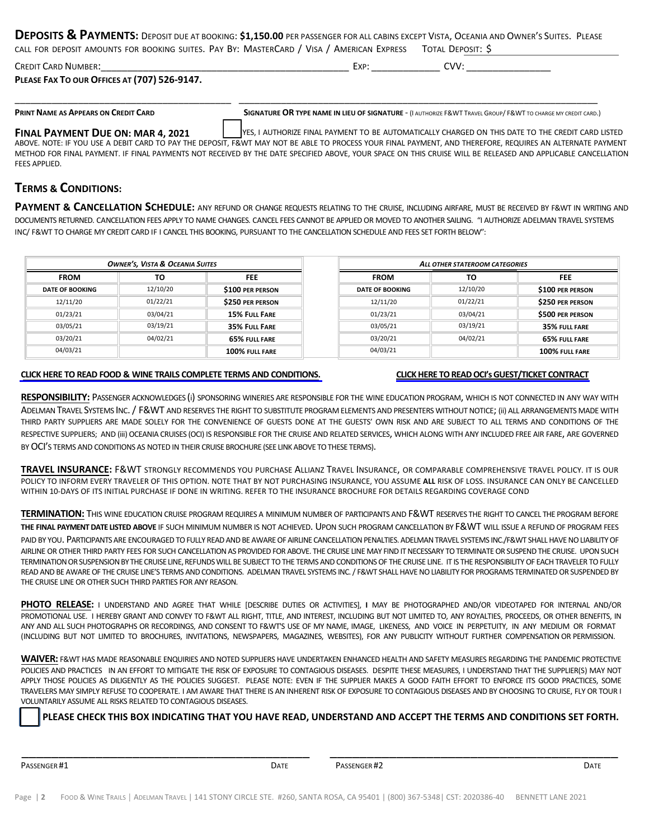**DEPOSITS & PAYMENTS:** DEPOSIT DUE AT BOOKING: **\$1,150.00** PER PASSENGER FOR ALL CABINS EXCEPT VISTA, OCEANIA AND OWNER'<sup>S</sup> SUITES. PLEASE CALL FOR DEPOSIT AMOUNTS FOR BOOKING SUITES. PAY BY: MASTERCARD / VISA / AMERICAN EXPRESS TOTAL DEPOSIT: \$

| <b>CREDIT CARD NUMBER:</b>                   | $T$ $\vee$ $R$ | $\gamma$ |  |
|----------------------------------------------|----------------|----------|--|
| PLEASE FAX TO OUR OFFICES AT (707) 526-9147. |                |          |  |

\_\_\_\_\_\_\_\_\_\_\_\_\_\_\_\_\_\_\_\_\_\_\_\_\_\_\_\_\_\_\_\_\_\_\_\_\_\_\_\_\_ \_\_\_\_\_\_\_\_\_\_\_\_\_\_\_\_\_\_\_\_\_\_\_\_\_\_\_\_\_\_\_\_\_\_\_\_\_\_\_\_\_\_\_\_\_\_\_\_\_\_\_\_\_\_\_\_\_\_\_\_\_\_\_\_\_\_\_\_

PRINT NAME AS APPEARS ON CREDIT CARD SIGNATURE OR TYPE NAME IN LIEU OF SIGNATURE - (I AUTHORIZE F&WT TRAVEL GROUP/ F&WT TO CHARGE MY CREDIT CARD.)

**FINAL PAYMENT DUE ON: MAR 4, 2021** YES, I AUTHORIZE FINAL PAYMENT TO BE AUTOMATICALLY CHARGED ON THIS DATE TO THE CREDIT CARD LISTED

ABOVE. NOTE: IF YOU USE A DEBIT CARD TO PAY THE DEPOSIT, F&WT MAY NOT BE ABLE TO PROCESS YOUR FINAL PAYMENT, AND THEREFORE, REQUIRES AN ALTERNATE PAYMENT METHOD FOR FINAL PAYMENT. IF FINAL PAYMENTS NOT RECEIVED BY THE DATE SPECIFIED ABOVE, YOUR SPACE ON THIS CRUISE WILL BE RELEASED AND APPLICABLE CANCELLATION FEES APPLIED.

## **TERMS & CONDITIONS:**

**PAYMENT & CANCELLATION SCHEDULE:** ANY REFUND OR CHANGE REQUESTS RELATING TO THE CRUISE, INCLUDING AIRFARE, MUST BE RECEIVED BY F&WT IN WRITING AND DOCUMENTS RETURNED. CANCELLATION FEES APPLY TO NAME CHANGES. CANCEL FEES CANNOT BE APPLIED OR MOVED TO ANOTHER SAILING. "I AUTHORIZE ADELMAN TRAVEL SYSTEMS INC/ F&WT TO CHARGE MY CREDIT CARD IF I CANCEL THIS BOOKING, PURSUANT TO THE CANCELLATION SCHEDULE AND FEES SET FORTH BELOW":

| <b>OWNER'S, VISTA &amp; OCEANIA SUITES</b> |          | ALL OTHER STATEROOM CATEGORIES |                        |          |                         |
|--------------------------------------------|----------|--------------------------------|------------------------|----------|-------------------------|
| <b>FROM</b>                                | то       | <b>FEE</b>                     | <b>FROM</b>            | то       | <b>FEE</b>              |
| <b>DATE OF BOOKING</b>                     | 12/10/20 | \$100 PER PERSON               | <b>DATE OF BOOKING</b> | 12/10/20 | \$100 PER PERSON        |
| 12/11/20                                   | 01/22/21 | <b>\$250 PER PERSON</b>        | 12/11/20               | 01/22/21 | \$250 PER PERSON        |
| 01/23/21                                   | 03/04/21 | 15% FULL FARE                  | 01/23/21               | 03/04/21 | <b>\$500 PER PERSON</b> |
| 03/05/21                                   | 03/19/21 | 35% FULL FARE                  | 03/05/21               | 03/19/21 | 35% FULL FARE           |
| 03/20/21                                   | 04/02/21 | <b>65% FULL FARE</b>           | 03/20/21               | 04/02/21 | 65% FULL FARE           |
| 04/03/21                                   |          | 100% FULL FARE                 | 04/03/21               |          | 100% FULL FARE          |

### CLICK HERE TO READ FOOD & WINE TRAILS COMPLETE TERMS AND [CONDITIONS.](https://www.foodandwinetrails.com/wp-content/uploads/2020/08/MASTER-FWT-Oceania-Cruises-Terms-and-Conditions.pdf) CLICK HERE TO READ OCI'S GUEST/TICKET CONTRACT

**RESPONSIBILITY:** PASSENGER ACKNOWLEDGES (i) SPONSORING WINERIES ARE RESPONSIBLE FOR THE WINE EDUCATION PROGRAM, WHICH IS NOT CONNECTED IN ANY WAY WITH ADELMAN TRAVEL SYSTEMS INC. / F&WT AND RESERVES THE RIGHT TO SUBSTITUTE PROGRAM ELEMENTS AND PRESENTERS WITHOUT NOTICE; (ii) ALL ARRANGEMENTS MADE WITH THIRD PARTY SUPPLIERS ARE MADE SOLELY FOR THE CONVENIENCE OF GUESTS DONE AT THE GUESTS' OWN RISK AND ARE SUBJECT TO ALL TERMS AND CONDITIONS OF THE RESPECTIVE SUPPLIERS; AND (iii) OCEANIA CRUISES (OCI) IS RESPONSIBLE FOR THE CRUISE AND RELATED SERVICES, WHICH ALONG WITH ANY INCLUDED FREE AIR FARE, ARE GOVERNED BY OCI'S TERMS AND CONDITIONS AS NOTED IN THEIR CRUISE BROCHURE (SEE LINK ABOVE TO THESE TERMS).

**TRAVEL INSURANCE:** F&WT STRONGLY RECOMMENDS YOU PURCHASE ALLIANZ TRAVEL INSURANCE, OR COMPARABLE COMPREHENSIVE TRAVEL POLICY. IT IS OUR POLICY TO INFORM EVERY TRAVELER OF THIS OPTION. NOTE THAT BY NOT PURCHASING INSURANCE, YOU ASSUME **ALL** RISK OF LOSS. INSURANCE CAN ONLY BE CANCELLED WITHIN 10‐DAYS OF ITS INITIAL PURCHASE IF DONE IN WRITING. REFER TO THE INSURANCE BROCHURE FOR DETAILS REGARDING COVERAGE COND

**TERMINATION:** THIS WINE EDUCATION CRUISE PROGRAM REQUIRES A MINIMUM NUMBER OF PARTICIPANTS AND F&WT RESERVES THE RIGHT TO CANCEL THE PROGRAM BEFORE **THE FINAL PAYMENTDATE LISTED ABOVE** IF SUCH MINIMUM NUMBER IS NOT ACHIEVED. UPON SUCH PROGRAM CANCELLATION BY F&WT WILL ISSUE A REFUND OF PROGRAM FEES

PAID BY YOU. PARTICIPANTS ARE ENCOURAGED TO FULLY READ AND BE AWARE OF AIRLINE CANCELLATION PENALTIES. ADELMAN TRAVEL SYSTEMS INC./F&WT SHALL HAVE NO LIABILITY OF AIRLINE OR OTHER THIRD PARTY FEES FOR SUCH CANCELLATION AS PROVIDED FOR ABOVE. THE CRUISE LINE MAY FIND IT NECESSARY TO TERMINATE OR SUSPEND THE CRUISE. UPON SUCH TERMINATION OR SUSPENSION BY THE CRUISE LINE, REFUNDS WILL BE SUBJECT TO THE TERMS AND CONDITIONS OF THE CRUISE LINE. IT IS THE RESPONSIBILITY OF EACH TRAVELER TO FULLY READ AND BE AWARE OF THE CRUISE LINE'S TERMS AND CONDITIONS. ADELMAN TRAVEL SYSTEMS INC. / F&WT SHALL HAVE NO LIABILITY FOR PROGRAMS TERMINATED OR SUSPENDED BY THE CRUISE LINE OR OTHER SUCH THIRD PARTIES FOR ANY REASON.

**PHOTO RELEASE:** I UNDERSTAND AND AGREE THAT WHILE [DESCRIBE DUTIES OR ACTIVITIES], **I** MAY BE PHOTOGRAPHED AND/OR VIDEOTAPED FOR INTERNAL AND/OR PROMOTIONAL USE. I HEREBY GRANT AND CONVEY TO F&WT ALL RIGHT, TITLE, AND INTEREST, INCLUDING BUT NOT LIMITED TO, ANY ROYALTIES, PROCEEDS, OR OTHER BENEFITS, IN ANY AND ALL SUCH PHOTOGRAPHS OR RECORDINGS, AND CONSENT TO F&WT'S USE OF MY NAME, IMAGE, LIKENESS, AND VOICE IN PERPETUITY, IN ANY MEDIUM OR FORMAT (INCLUDING BUT NOT LIMITED TO BROCHURES, INVITATIONS, NEWSPAPERS, MAGAZINES, WEBSITES), FOR ANY PUBLICITY WITHOUT FURTHER COMPENSATION OR PERMISSION.

**WAIVER:** F&WT HAS MADE REASONABLE ENQUIRIES AND NOTED SUPPLIERS HAVE UNDERTAKEN ENHANCED HEALTH AND SAFETY MEASURES REGARDING THE PANDEMIC PROTECTIVE POLICIES AND PRACTICES IN AN EFFORT TO MITIGATE THE RISK OF EXPOSURE TO CONTAGIOUS DISEASES. DESPITE THESE MEASURES, I UNDERSTAND THAT THE SUPPLIER(S) MAY NOT APPLY THOSE POLICIES AS DILIGENTLY AS THE POLICIES SUGGEST. PLEASE NOTE: EVEN IF THE SUPPLIER MAKES A GOOD FAITH EFFORT TO ENFORCE ITS GOOD PRACTICES, SOME TRAVELERS MAY SIMPLY REFUSE TO COOPERATE. I AM AWARE THAT THERE IS AN INHERENT RISK OF EXPOSURE TO CONTAGIOUS DISEASES AND BY CHOOSING TO CRUISE, FLY OR TOUR I VOLUNTARILY ASSUME ALL RISKS RELATED TO CONTAGIOUS DISEASES.

\_\_\_\_\_\_\_\_\_\_\_\_\_\_\_\_\_\_\_\_\_\_\_\_\_\_\_\_\_\_\_\_\_\_\_\_\_\_\_ \_\_\_\_\_\_\_\_\_\_\_\_\_\_\_\_\_\_\_\_\_\_\_\_\_\_\_\_\_\_\_\_\_\_\_\_\_\_\_

PLEASE CHECK THIS BOX INDICATING THAT YOU HAVE READ, UNDERSTAND AND ACCEPT THE TERMS AND CONDITIONS SET FORTH.

PASSENGER #1 **DATE** PASSENGER #2 **DATE** PASSENGER #2